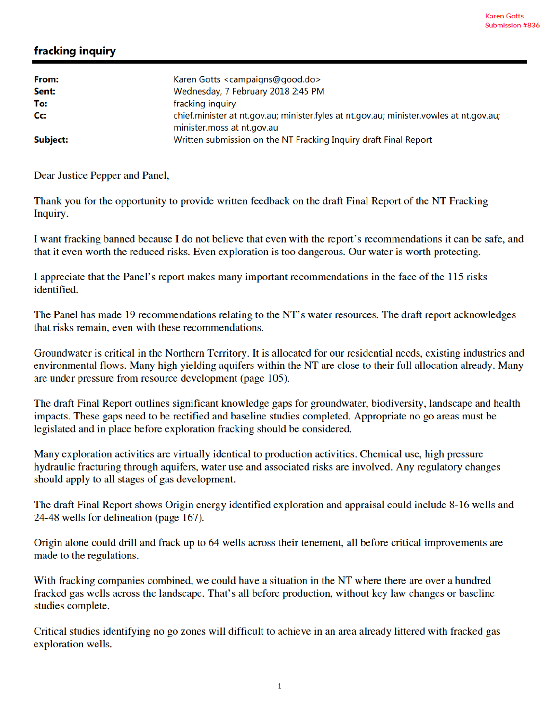## fracking inquiry

| From:    | Karen Gotts <campaigns@good.do></campaigns@good.do>                                                                   |
|----------|-----------------------------------------------------------------------------------------------------------------------|
| Sent:    | Wednesday, 7 February 2018 2:45 PM                                                                                    |
| To:      | fracking inquiry                                                                                                      |
| Cc:      | chief.minister at nt.gov.au; minister.fyles at nt.gov.au; minister.vowles at nt.gov.au;<br>minister.moss at nt.gov.au |
| Subject: | Written submission on the NT Fracking Inquiry draft Final Report                                                      |

Dear Justice Pepper and Panel,

Thank you for the opportunity to provide written feedback on the draft Final Report of the NT Fracking Inquiry.

I want fracking banned because I do not believe that even with the report's recommendations it can be safe, and that it even worth the reduced risks. Even exploration is too dangerous. Our water is worth protecting.

I appreciate that the Panel's report makes many important recommendations in the face of the 115 risks identified.

The Panel has made 19 recommendations relating to the NT's water resources. The draft report acknowledges that risks remain, even with these recommendations.

Groundwater is critical in the Northern Territory. It is allocated for our residential needs, existing industries and environmental flows. Many high yielding aquifers within the NT are close to their full allocation already. Many are under pressure from resource development (page 105).

The draft Final Report outlines significant knowledge gaps for groundwater, biodiversity, landscape and health impacts. These gaps need to be rectified and baseline studies completed. Appropriate no go areas must be legislated and in place before exploration fracking should be considered.

Many exploration activities are virtually identical to production activities. Chemical use, high pressure hydraulic fracturing through aquifers, water use and associated risks are involved. Any regulatory changes should apply to all stages of gas development.

The draft Final Report shows Origin energy identified exploration and appraisal could include 8-16 wells and 24-48 wells for delineation (page 167).

Origin alone could drill and frack up to 64 wells across their tenement, all before critical improvements are made to the regulations.

With fracking companies combined, we could have a situation in the NT where there are over a hundred fracked gas wells across the landscape. That's all before production, without key law changes or baseline studies complete.

Critical studies identifying no go zones will difficult to achieve in an area already littered with fracked gas exploration wells.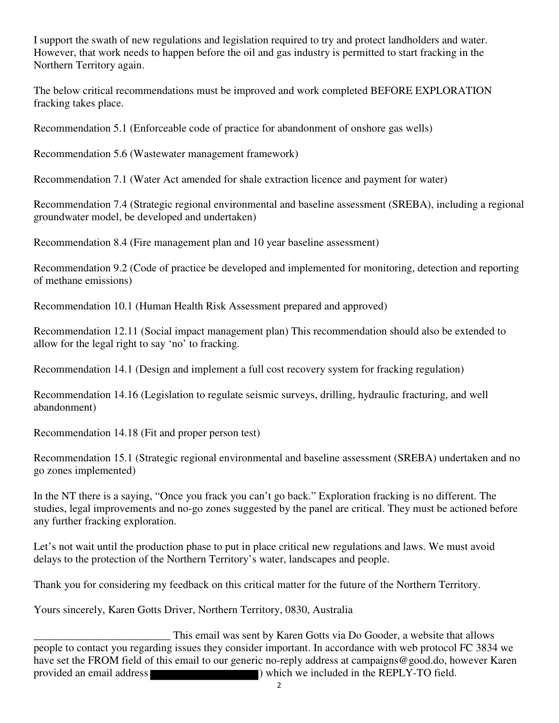I support the swath of new regulations and legislation required to try and protect landholders and water. However, that work needs to happen before the oil and gas industry is permitted to start fracking in the Northern Territory again.

The below critical recommendations must be improved and work completed BEFORE EXPLORATION fracking takes place.

Recommendation 5.1 (Enforceable code of practice for abandonment of onshore gas wells)

Recommendation 5.6 (Wastewater management framework)

Recommendation 7.1 (Water Act amended for shale extraction licence and payment for water)

Recommendation 7.4 (Strategic regional environmental and baseline assessment (SREBA), including a regional groundwater model, be developed and undertaken)

Recommendation 8.4 (Fire management plan and 10 year baseline assessment)

Recommendation 9.2 (Code of practice be developed and implemented for monitoring, detection and reporting of methane emissions)

Recommendation 10.1 (Human Health Risk Assessment prepared and approved)

Recommendation 12.11 (Social impact management plan) This recommendation should also be extended to allow for the legal right to say 'no' to fracking.

Recommendation 14.1 (Design and implement a full cost recovery system for fracking regulation)

Recommendation 14.16 (Legislation to regulate seismic surveys, drilling, hydraulic fracturing, and well abandonment)

Recommendation 14.18 (Fit and proper person test)

Recommendation 15.1 (Strategic regional environmental and baseline assessment (SREBA) undertaken and no go zones implemented)

In the NT there is a saying, "Once you frack you can't go back." Exploration fracking is no different. The studies, legal improvements and no-go zones suggested by the panel are critical. They must be actioned before any further fracking exploration.

Let's not wait until the production phase to put in place critical new regulations and laws. We must avoid delays to the protection of the Northern Territory's water, landscapes and people.

Thank you for considering my feedback on this critical matter for the future of the Northern Territory.

Yours sincerely, Karen Gotts Driver, Northern Territory, 0830, Australia

This email was sent by Karen Gotts via Do Gooder, a website that allows<br>people to contact you regarding issues they consider important. In accordance with web protocol FC 3834 we have set the FROM field of this email to our generic no-reply address at campaigns@good.do, however Karen provided an email address ) which we included in the REPLY-TO field.